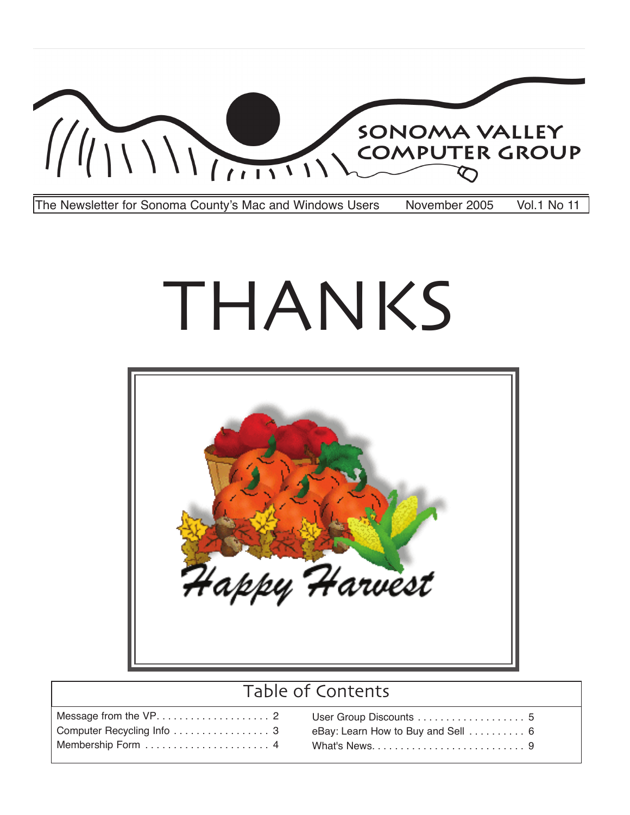

The Newsletter for Sonoma County's Mac and Windows Users November 2005 Vol.1 No 11

# THANKS



### Table of Contents

| Computer Recycling Info  3 | eBay: Learn How to Buy and Sell $\ldots \ldots \ldots$ 6 |  |
|----------------------------|----------------------------------------------------------|--|
| Membership Form  4         |                                                          |  |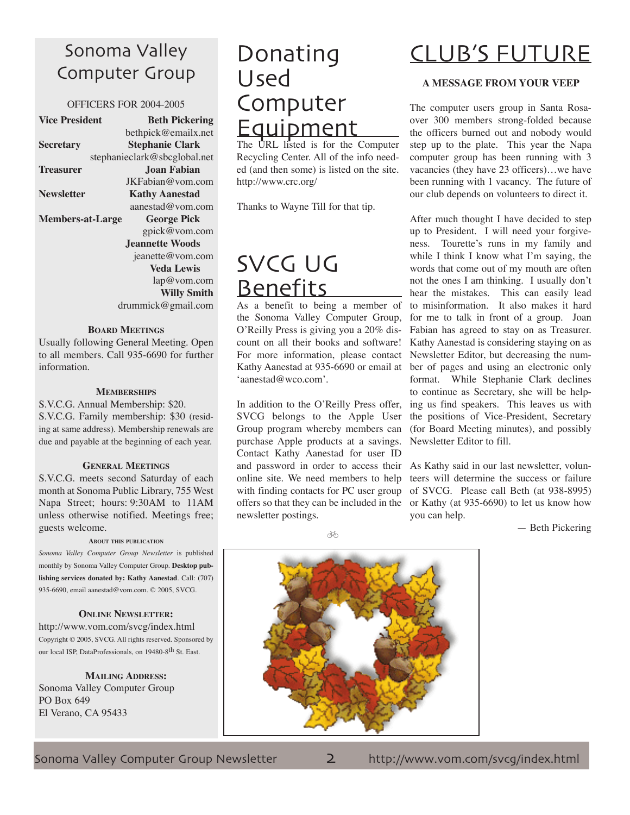### Sonoma Valley Computer Group

### OFFICERS FOR 2004-2005

| <b>Vice President</b>   | <b>Beth Pickering</b>        |
|-------------------------|------------------------------|
|                         | bethpick@emailx.net          |
| <b>Secretary</b>        | <b>Stephanie Clark</b>       |
|                         | stephanieclark@sbcglobal.net |
| <b>Treasurer</b>        | Joan Fabian                  |
|                         | JKFabian@vom.com             |
| <b>Newsletter</b>       | <b>Kathy Aanestad</b>        |
|                         | aanestad@vom.com             |
|                         |                              |
| <b>Members-at-Large</b> | <b>George Pick</b>           |
|                         | gpick@vom.com                |
|                         | <b>Jeannette Woods</b>       |
|                         | jeanette@vom.com             |
|                         | <b>Veda Lewis</b>            |
|                         | lap@vom.com                  |
|                         | <b>Willy Smith</b>           |
|                         | drummick@gmail.com           |

### **Board Meetings**

Usually following General Meeting. Open to all members. Call 935-6690 for further information.

### **Memberships**

S.V.C.G. Annual Membership: \$20. S.V.C.G. Family membership: \$30 (residing at same address). Membership renewals are due and payable at the beginning of each year.

#### **General Meetings**

S.V.C.G. meets second Saturday of each month at Sonoma Public Library, 755 West Napa Street; hours: 9:30AM to 11AM unless otherwise notified. Meetings free; guests welcome.

#### **About this publication**

*Sonoma Valley Computer Group Newsletter* is published monthly by Sonoma Valley Computer Group. **Desktop publishing services donated by: Kathy Aanestad**. Call: (707) 935-6690, email aanestad@vom.com. © 2005, SVCG.

### **Online Newsletter:**

http://www.vom.com/svcg/index.html Copyright © 2005, SVCG. All rights reserved. Sponsored by our local ISP, DataProfessionals, on 19480-8<sup>th</sup> St. East.

**Mailing Address:** Sonoma Valley Computer Group PO Box 649 El Verano, CA 95433

### Donating Used Computer Equipment

The URL listed is for the Computer Recycling Center. All of the info needed (and then some) is listed on the site. http://www.crc.org/

Thanks to Wayne Till for that tip.

# SVCG UG **Benefits**

As a benefit to being a member of the Sonoma Valley Computer Group, O'Reilly Press is giving you a 20% discount on all their books and software! For more information, please contact Kathy Aanestad at 935-6690 or email at 'aanestad@wco.com'.

In addition to the O'Reilly Press offer, SVCG belongs to the Apple User Group program whereby members can purchase Apple products at a savings. Contact Kathy Aanestad for user ID online site. We need members to help with finding contacts for PC user group offers so that they can be included in the newsletter postings.

### Club's Future

### **A Message From Your VEEP**

The computer users group in Santa Rosaover 300 members strong-folded because the officers burned out and nobody would step up to the plate. This year the Napa computer group has been running with 3 vacancies (they have 23 officers)…we have been running with 1 vacancy. The future of our club depends on volunteers to direct it.

After much thought I have decided to step up to President. I will need your forgiveness. Tourette's runs in my family and while I think I know what I'm saying, the words that come out of my mouth are often not the ones I am thinking. I usually don't hear the mistakes. This can easily lead to misinformation. It also makes it hard for me to talk in front of a group. Joan Fabian has agreed to stay on as Treasurer. Kathy Aanestad is considering staying on as Newsletter Editor, but decreasing the number of pages and using an electronic only format. While Stephanie Clark declines to continue as Secretary, she will be helping us find speakers. This leaves us with the positions of Vice-President, Secretary (for Board Meeting minutes), and possibly Newsletter Editor to fill.

and password in order to access their As Kathy said in our last newsletter, volunteers will determine the success or failure of SVCG. Please call Beth (at 938-8995) or Kathy (at 935-6690) to let us know how you can help.

— Beth Pickering

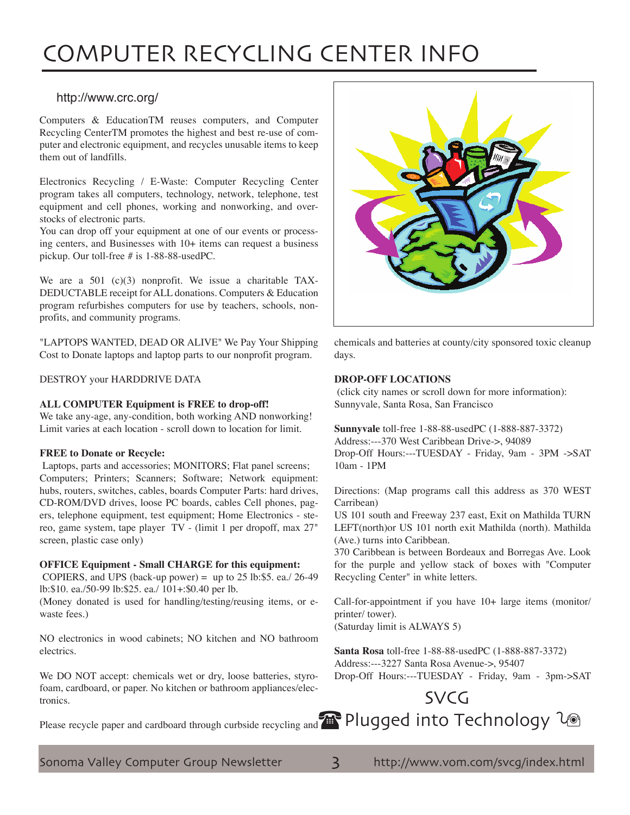# COMPUTER RECYCLING CENTER INFO

### http://www.crc.org/

Computers & EducationTM reuses computers, and Computer Recycling CenterTM promotes the highest and best re-use of computer and electronic equipment, and recycles unusable items to keep them out of landfills.

Electronics Recycling / E-Waste: Computer Recycling Center program takes all computers, technology, network, telephone, test equipment and cell phones, working and nonworking, and overstocks of electronic parts.

You can drop off your equipment at one of our events or processing centers, and Businesses with 10+ items can request a business pickup. Our toll-free # is 1-88-88-usedPC.

We are a 501 (c)(3) nonprofit. We issue a charitable TAX-DEDUCTABLE receipt for ALL donations. Computers & Education program refurbishes computers for use by teachers, schools, nonprofits, and community programs.

"LAPTOPS WANTED, DEAD OR ALIVE" We Pay Your Shipping Cost to Donate laptops and laptop parts to our nonprofit program.

DESTROY your HARDDRIVE DATA

### **ALL COMPUTER Equipment is FREE to drop-off!**

We take any-age, any-condition, both working AND nonworking! Limit varies at each location - scroll down to location for limit.

### **FREE to Donate or Recycle:**

Laptops, parts and accessories; MONITORS; Flat panel screens; Computers; Printers; Scanners; Software; Network equipment: hubs, routers, switches, cables, boards Computer Parts: hard drives, CD-ROM/DVD drives, loose PC boards, cables Cell phones, pagers, telephone equipment, test equipment; Home Electronics - stereo, game system, tape player TV - (limit 1 per dropoff, max 27" screen, plastic case only)

### **OFFICE Equipment - Small CHARGE for this equipment:**

COPIERS, and UPS (back-up power) = up to  $25$  lb:\$5. ea./  $26-49$ lb:\$10. ea./50-99 lb:\$25. ea./ 101+:\$0.40 per lb.

(Money donated is used for handling/testing/reusing items, or ewaste fees.)

NO electronics in wood cabinets; NO kitchen and NO bathroom electrics.

We DO NOT accept: chemicals wet or dry, loose batteries, styrofoam, cardboard, or paper. No kitchen or bathroom appliances/electronics.

Please recycle paper and cardboard through curbside recycling and  $\textcolor{black}{\widetilde{H}}$  Plugged into Technology  $\textcolor{black}{\mathcal{H}}$ 



chemicals and batteries at county/city sponsored toxic cleanup days.

### **DROP-OFF LOCATIONS**

(click city names or scroll down for more information): Sunnyvale, Santa Rosa, San Francisco

**Sunnyvale** toll-free 1-88-88-usedPC (1-888-887-3372) Address:---370 West Caribbean Drive->, 94089 Drop-Off Hours:---TUESDAY - Friday, 9am - 3PM ->SAT 10am - 1PM

Directions: (Map programs call this address as 370 WEST Carribean)

US 101 south and Freeway 237 east, Exit on Mathilda TURN LEFT(north)or US 101 north exit Mathilda (north). Mathilda (Ave.) turns into Caribbean.

370 Caribbean is between Bordeaux and Borregas Ave. Look for the purple and yellow stack of boxes with "Computer Recycling Center" in white letters.

Call-for-appointment if you have 10+ large items (monitor/ printer/ tower).

(Saturday limit is ALWAYS 5)

**Santa Rosa** toll-free 1-88-88-usedPC (1-888-887-3372) Address:---3227 Santa Rosa Avenue->, 95407 Drop-Off Hours:---TUESDAY - Friday, 9am - 3pm->SAT

### SVCG

Sonoma Valley Computer Group Newsletter 3 http://www.vom.com/svcg/index.html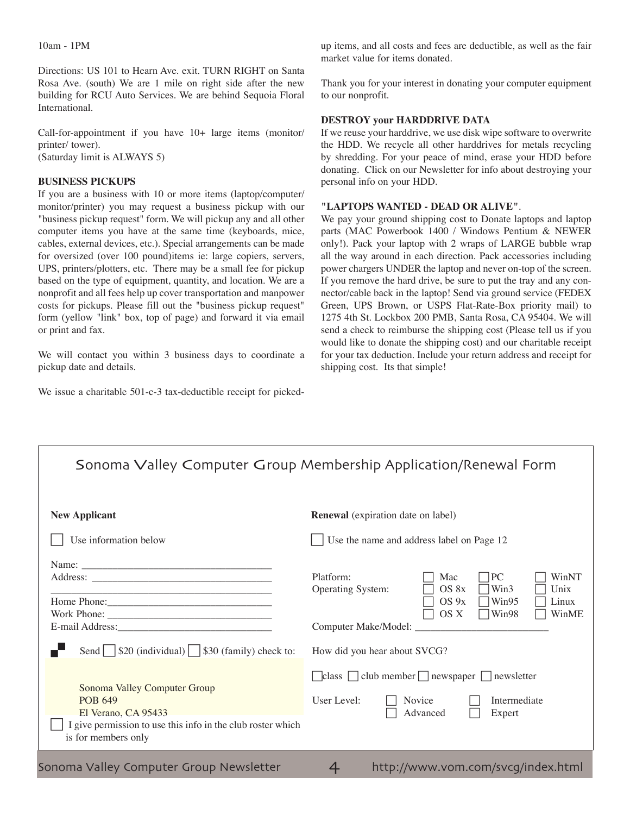10am - 1PM

Directions: US 101 to Hearn Ave. exit. TURN RIGHT on Santa Rosa Ave. (south) We are 1 mile on right side after the new building for RCU Auto Services. We are behind Sequoia Floral International.

Call-for-appointment if you have 10+ large items (monitor/ printer/ tower). (Saturday limit is ALWAYS 5)

### **Business Pickups**

If you are a business with 10 or more items (laptop/computer/ monitor/printer) you may request a business pickup with our "business pickup request" form. We will pickup any and all other computer items you have at the same time (keyboards, mice, cables, external devices, etc.). Special arrangements can be made for oversized (over 100 pound)items ie: large copiers, servers, UPS, printers/plotters, etc. There may be a small fee for pickup based on the type of equipment, quantity, and location. We are a nonprofit and all fees help up cover transportation and manpower costs for pickups. Please fill out the "business pickup request" form (yellow "link" box, top of page) and forward it via email or print and fax.

We will contact you within 3 business days to coordinate a pickup date and details.

We issue a charitable 501-c-3 tax-deductible receipt for picked-

up items, and all costs and fees are deductible, as well as the fair market value for items donated.

Thank you for your interest in donating your computer equipment to our nonprofit.

### **DESTROY your HARDDRIVE DATA**

If we reuse your harddrive, we use disk wipe software to overwrite the HDD. We recycle all other harddrives for metals recycling by shredding. For your peace of mind, erase your HDD before donating. Click on our Newsletter for info about destroying your personal info on your HDD.

### **"LAPTOPS WANTED - DEAD OR ALIVE"**.

We pay your ground shipping cost to Donate laptops and laptop parts (MAC Powerbook 1400 / Windows Pentium & NEWER only!). Pack your laptop with 2 wraps of LARGE bubble wrap all the way around in each direction. Pack accessories including power chargers UNDER the laptop and never on-top of the screen. If you remove the hard drive, be sure to put the tray and any connector/cable back in the laptop! Send via ground service (FEDEX Green, UPS Brown, or USPS Flat-Rate-Box priority mail) to 1275 4th St. Lockbox 200 PMB, Santa Rosa, CA 95404. We will send a check to reimburse the shipping cost (Please tell us if you would like to donate the shipping cost) and our charitable receipt for your tax deduction. Include your return address and receipt for shipping cost. Its that simple!

| Sonoma Valley Computer Group Membership Application/Renewal Form                                                                                                                                                                                                                                                                     |                                                                                                                                                                                                                                                         |  |
|--------------------------------------------------------------------------------------------------------------------------------------------------------------------------------------------------------------------------------------------------------------------------------------------------------------------------------------|---------------------------------------------------------------------------------------------------------------------------------------------------------------------------------------------------------------------------------------------------------|--|
| <b>New Applicant</b>                                                                                                                                                                                                                                                                                                                 | <b>Renewal</b> (expiration date on label)                                                                                                                                                                                                               |  |
| Use information below                                                                                                                                                                                                                                                                                                                | Use the name and address label on Page 12                                                                                                                                                                                                               |  |
| Name:<br><u> 1989 - Johann Barn, amerikansk politiker (d. 1989)</u><br>E-mail Address: Management of the Address and Address and Address and Address and Address and Address and Address and Address and Address and Address and Address and Address and Address and Address and Address and Address<br>Sonoma Valley Computer Group | Platform:<br>PC<br>WinNT<br>Mac<br>Win3<br>Operating System:<br>OS 8x<br>Unix<br>OS 9x<br>Win95<br>Linux<br>OS X<br>Win98<br>WinME<br>Computer Make/Model:<br>How did you hear about SVCG?<br>club member $\Box$ newspaper $\Box$ newsletter<br>  class |  |
| <b>POB 649</b><br>El Verano, CA 95433<br>I give permission to use this info in the club roster which<br>is for members only                                                                                                                                                                                                          | User Level:<br>Intermediate<br>Novice<br>Advanced<br>Expert                                                                                                                                                                                             |  |
| Sonoma Valley Computer Group Newsletter                                                                                                                                                                                                                                                                                              | http://www.vom.com/svcg/index.html<br>4                                                                                                                                                                                                                 |  |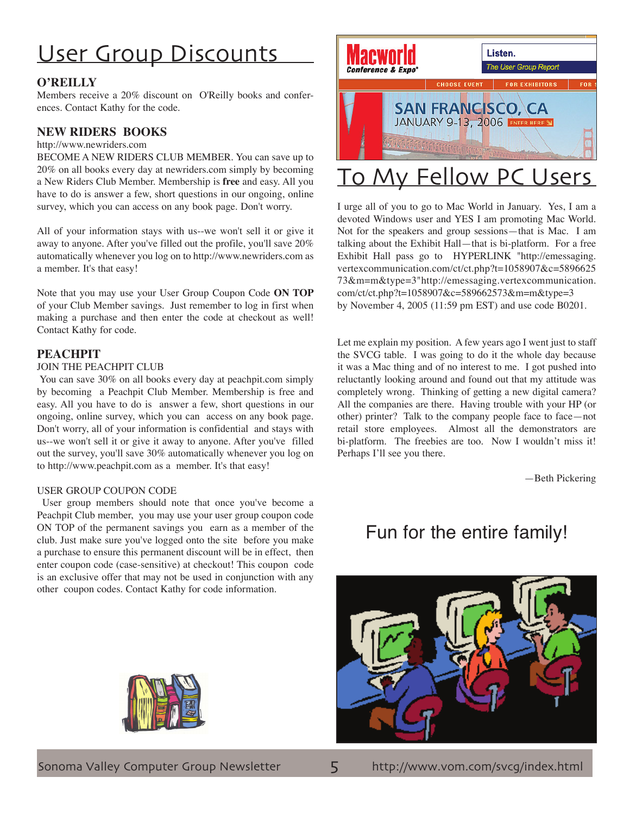# User Group Discounts

### **O'Reilly**

Members receive a 20% discount on O'Reilly books and conferences. Contact Kathy for the code.

### **New Riders Books**

### http://www.newriders.com

BECOME A NEW RIDERS CLUB MEMBER. You can save up to 20% on all books every day at newriders.com simply by becoming a New Riders Club Member. Membership is **free** and easy. All you have to do is answer a few, short questions in our ongoing, online survey, which you can access on any book page. Don't worry.

All of your information stays with us--we won't sell it or give it away to anyone. After you've filled out the profile, you'll save 20% automatically whenever you log on to http://www.newriders.com as a member. It's that easy!

Note that you may use your User Group Coupon Code **ON TOP** of your Club Member savings. Just remember to log in first when making a purchase and then enter the code at checkout as well! Contact Kathy for code.

### **PEACHPIT**

### JOIN THE PEACHPIT CLUB

You can save 30% on all books every day at peachpit.com simply by becoming a Peachpit Club Member. Membership is free and easy. All you have to do is answer a few, short questions in our ongoing, online survey, which you can access on any book page. Don't worry, all of your information is confidential and stays with us--we won't sell it or give it away to anyone. After you've filled out the survey, you'll save 30% automatically whenever you log on to http://www.peachpit.com as a member. It's that easy!

### USER GROUP COUPON CODE

 User group members should note that once you've become a Peachpit Club member, you may use your user group coupon code ON TOP of the permanent savings you earn as a member of the club. Just make sure you've logged onto the site before you make a purchase to ensure this permanent discount will be in effect, then enter coupon code (case-sensitive) at checkout! This coupon code is an exclusive offer that may not be used in conjunction with any other coupon codes. Contact Kathy for code information.



# To My Fellow PC Users

I urge all of you to go to Mac World in January. Yes, I am a devoted Windows user and YES I am promoting Mac World. Not for the speakers and group sessions—that is Mac. I am talking about the Exhibit Hall—that is bi-platform. For a free Exhibit Hall pass go to HYPERLINK "http://emessaging. vertexcommunication.com/ct/ct.php?t=1058907&c=5896625 73&m=m&type=3"http://emessaging.vertexcommunication. com/ct/ct.php?t=1058907&c=589662573&m=m&type=3 by November 4, 2005 (11:59 pm EST) and use code B0201.

Let me explain my position. A few years ago I went just to staff the SVCG table. I was going to do it the whole day because it was a Mac thing and of no interest to me. I got pushed into reluctantly looking around and found out that my attitude was completely wrong. Thinking of getting a new digital camera? All the companies are there. Having trouble with your HP (or other) printer? Talk to the company people face to face—not retail store employees. Almost all the demonstrators are bi-platform. The freebies are too. Now I wouldn't miss it! Perhaps I'll see you there.

—Beth Pickering

### Fun for the entire family!



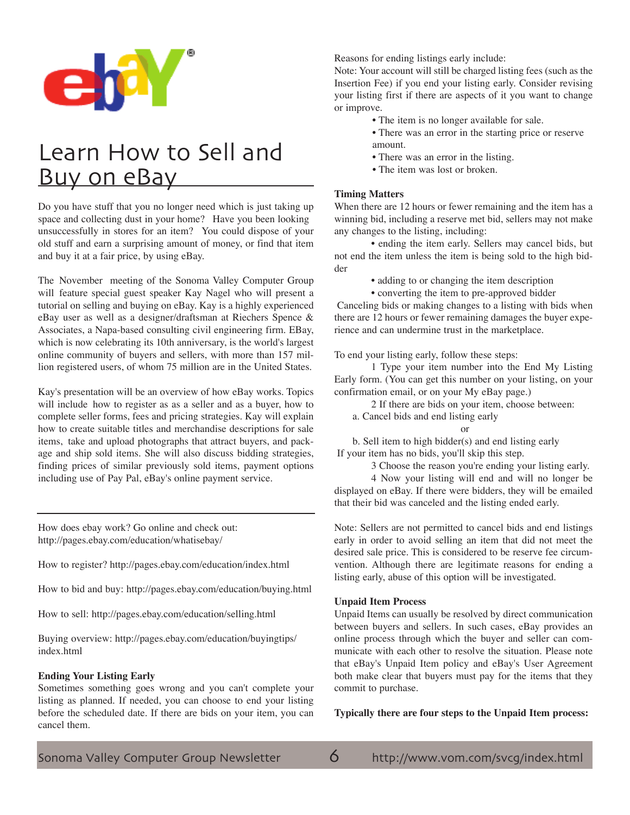

# Learn How to Sell and Buy on eBay

Do you have stuff that you no longer need which is just taking up space and collecting dust in your home? Have you been looking unsuccessfully in stores for an item? You could dispose of your old stuff and earn a surprising amount of money, or find that item and buy it at a fair price, by using eBay.

The November meeting of the Sonoma Valley Computer Group will feature special guest speaker Kay Nagel who will present a tutorial on selling and buying on eBay. Kay is a highly experienced eBay user as well as a designer/draftsman at Riechers Spence & Associates, a Napa-based consulting civil engineering firm. EBay, which is now celebrating its 10th anniversary, is the world's largest online community of buyers and sellers, with more than 157 million registered users, of whom 75 million are in the United States.

Kay's presentation will be an overview of how eBay works. Topics will include how to register as as a seller and as a buyer, how to complete seller forms, fees and pricing strategies. Kay will explain how to create suitable titles and merchandise descriptions for sale items, take and upload photographs that attract buyers, and package and ship sold items. She will also discuss bidding strategies, finding prices of similar previously sold items, payment options including use of Pay Pal, eBay's online payment service.

How does ebay work? Go online and check out: http://pages.ebay.com/education/whatisebay/

How to register? http://pages.ebay.com/education/index.html

How to bid and buy: http://pages.ebay.com/education/buying.html

How to sell: http://pages.ebay.com/education/selling.html

Buying overview: http://pages.ebay.com/education/buyingtips/ index.html

### **Ending Your Listing Early**

Sometimes something goes wrong and you can't complete your listing as planned. If needed, you can choose to end your listing before the scheduled date. If there are bids on your item, you can cancel them.

Reasons for ending listings early include:

Note: Your account will still be charged listing fees (such as the Insertion Fee) if you end your listing early. Consider revising your listing first if there are aspects of it you want to change or improve.

- The item is no longer available for sale.
- There was an error in the starting price or reserve amount.
- There was an error in the listing.
- The item was lost or broken.

### **Timing Matters**

When there are 12 hours or fewer remaining and the item has a winning bid, including a reserve met bid, sellers may not make any changes to the listing, including:

• ending the item early. Sellers may cancel bids, but not end the item unless the item is being sold to the high bidder

• adding to or changing the item description

• converting the item to pre-approved bidder Canceling bids or making changes to a listing with bids when there are 12 hours or fewer remaining damages the buyer experience and can undermine trust in the marketplace.

To end your listing early, follow these steps:

1 Type your item number into the End My Listing Early form. (You can get this number on your listing, on your confirmation email, or on your My eBay page.)

2 If there are bids on your item, choose between:

a. Cancel bids and end listing early

or

 b. Sell item to high bidder(s) and end listing early If your item has no bids, you'll skip this step.

3 Choose the reason you're ending your listing early.

4 Now your listing will end and will no longer be displayed on eBay. If there were bidders, they will be emailed that their bid was canceled and the listing ended early.

Note: Sellers are not permitted to cancel bids and end listings early in order to avoid selling an item that did not meet the desired sale price. This is considered to be reserve fee circumvention. Although there are legitimate reasons for ending a listing early, abuse of this option will be investigated.

### **Unpaid Item Process**

Unpaid Items can usually be resolved by direct communication between buyers and sellers. In such cases, eBay provides an online process through which the buyer and seller can communicate with each other to resolve the situation. Please note that eBay's Unpaid Item policy and eBay's User Agreement both make clear that buyers must pay for the items that they commit to purchase.

**Typically there are four steps to the Unpaid Item process:**

Sonoma Valley Computer Group Newsletter  $\overline{6}$  http://www.vom.com/svcg/index.html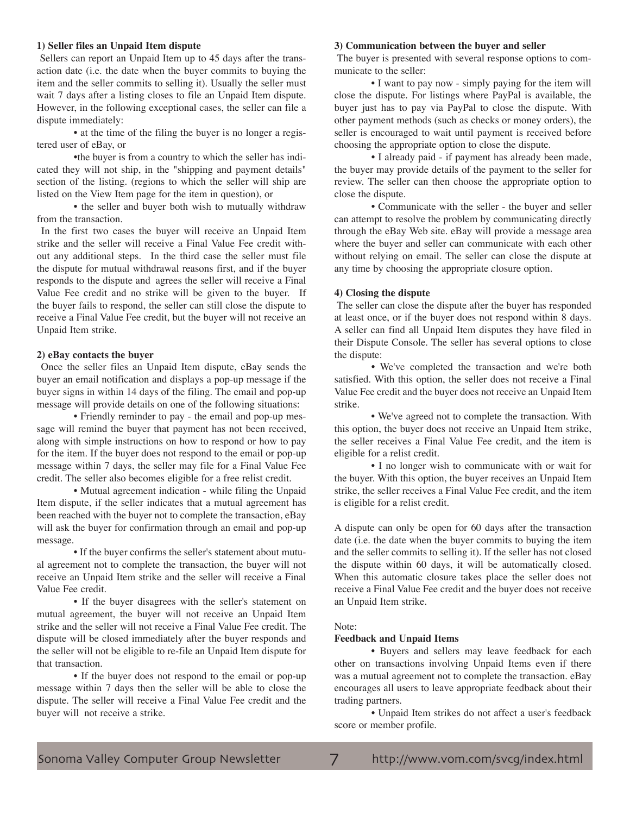### **1) Seller files an Unpaid Item dispute**

Sellers can report an Unpaid Item up to 45 days after the transaction date (i.e. the date when the buyer commits to buying the item and the seller commits to selling it). Usually the seller must wait 7 days after a listing closes to file an Unpaid Item dispute. However, in the following exceptional cases, the seller can file a dispute immediately:

• at the time of the filing the buyer is no longer a registered user of eBay, or

•the buyer is from a country to which the seller has indicated they will not ship, in the "shipping and payment details" section of the listing. (regions to which the seller will ship are listed on the View Item page for the item in question), or

• the seller and buyer both wish to mutually withdraw from the transaction.

In the first two cases the buyer will receive an Unpaid Item strike and the seller will receive a Final Value Fee credit without any additional steps. In the third case the seller must file the dispute for mutual withdrawal reasons first, and if the buyer responds to the dispute and agrees the seller will receive a Final Value Fee credit and no strike will be given to the buyer. If the buyer fails to respond, the seller can still close the dispute to receive a Final Value Fee credit, but the buyer will not receive an Unpaid Item strike.

#### **2) eBay contacts the buyer**

Once the seller files an Unpaid Item dispute, eBay sends the buyer an email notification and displays a pop-up message if the buyer signs in within 14 days of the filing. The email and pop-up message will provide details on one of the following situations:

• Friendly reminder to pay - the email and pop-up message will remind the buyer that payment has not been received, along with simple instructions on how to respond or how to pay for the item. If the buyer does not respond to the email or pop-up message within 7 days, the seller may file for a Final Value Fee credit. The seller also becomes eligible for a free relist credit.

• Mutual agreement indication - while filing the Unpaid Item dispute, if the seller indicates that a mutual agreement has been reached with the buyer not to complete the transaction, eBay will ask the buyer for confirmation through an email and pop-up message.

• If the buyer confirms the seller's statement about mutual agreement not to complete the transaction, the buyer will not receive an Unpaid Item strike and the seller will receive a Final Value Fee credit.

• If the buyer disagrees with the seller's statement on mutual agreement, the buyer will not receive an Unpaid Item strike and the seller will not receive a Final Value Fee credit. The dispute will be closed immediately after the buyer responds and the seller will not be eligible to re-file an Unpaid Item dispute for that transaction.

• If the buyer does not respond to the email or pop-up message within 7 days then the seller will be able to close the dispute. The seller will receive a Final Value Fee credit and the buyer will not receive a strike.

### **3) Communication between the buyer and seller**

The buyer is presented with several response options to communicate to the seller:

• I want to pay now - simply paying for the item will close the dispute. For listings where PayPal is available, the buyer just has to pay via PayPal to close the dispute. With other payment methods (such as checks or money orders), the seller is encouraged to wait until payment is received before choosing the appropriate option to close the dispute.

• I already paid - if payment has already been made, the buyer may provide details of the payment to the seller for review. The seller can then choose the appropriate option to close the dispute.

• Communicate with the seller - the buyer and seller can attempt to resolve the problem by communicating directly through the eBay Web site. eBay will provide a message area where the buyer and seller can communicate with each other without relying on email. The seller can close the dispute at any time by choosing the appropriate closure option.

#### **4) Closing the dispute**

The seller can close the dispute after the buyer has responded at least once, or if the buyer does not respond within 8 days. A seller can find all Unpaid Item disputes they have filed in their Dispute Console. The seller has several options to close the dispute:

• We've completed the transaction and we're both satisfied. With this option, the seller does not receive a Final Value Fee credit and the buyer does not receive an Unpaid Item strike.

• We've agreed not to complete the transaction. With this option, the buyer does not receive an Unpaid Item strike, the seller receives a Final Value Fee credit, and the item is eligible for a relist credit.

• I no longer wish to communicate with or wait for the buyer. With this option, the buyer receives an Unpaid Item strike, the seller receives a Final Value Fee credit, and the item is eligible for a relist credit.

A dispute can only be open for 60 days after the transaction date (i.e. the date when the buyer commits to buying the item and the seller commits to selling it). If the seller has not closed the dispute within 60 days, it will be automatically closed. When this automatic closure takes place the seller does not receive a Final Value Fee credit and the buyer does not receive an Unpaid Item strike.

#### Note:

### **Feedback and Unpaid Items**

• Buyers and sellers may leave feedback for each other on transactions involving Unpaid Items even if there was a mutual agreement not to complete the transaction. eBay encourages all users to leave appropriate feedback about their trading partners.

• Unpaid Item strikes do not affect a user's feedback score or member profile.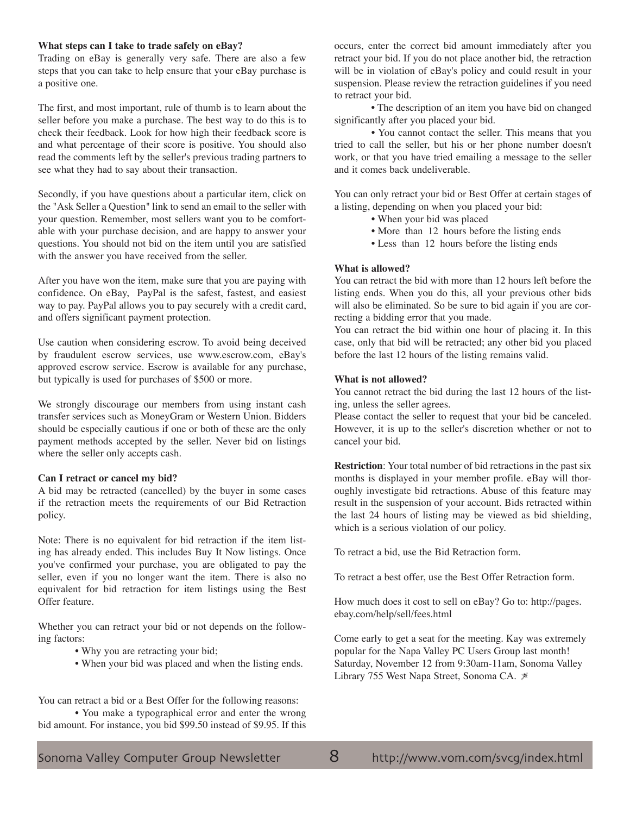### **What steps can I take to trade safely on eBay?**

Trading on eBay is generally very safe. There are also a few steps that you can take to help ensure that your eBay purchase is a positive one.

The first, and most important, rule of thumb is to learn about the seller before you make a purchase. The best way to do this is to check their feedback. Look for how high their feedback score is and what percentage of their score is positive. You should also read the comments left by the seller's previous trading partners to see what they had to say about their transaction.

Secondly, if you have questions about a particular item, click on the "Ask Seller a Question" link to send an email to the seller with your question. Remember, most sellers want you to be comfortable with your purchase decision, and are happy to answer your questions. You should not bid on the item until you are satisfied with the answer you have received from the seller.

After you have won the item, make sure that you are paying with confidence. On eBay, PayPal is the safest, fastest, and easiest way to pay. PayPal allows you to pay securely with a credit card, and offers significant payment protection.

Use caution when considering escrow. To avoid being deceived by fraudulent escrow services, use www.escrow.com, eBay's approved escrow service. Escrow is available for any purchase, but typically is used for purchases of \$500 or more.

We strongly discourage our members from using instant cash transfer services such as MoneyGram or Western Union. Bidders should be especially cautious if one or both of these are the only payment methods accepted by the seller. Never bid on listings where the seller only accepts cash.

#### **Can I retract or cancel my bid?**

A bid may be retracted (cancelled) by the buyer in some cases if the retraction meets the requirements of our Bid Retraction policy.

Note: There is no equivalent for bid retraction if the item listing has already ended. This includes Buy It Now listings. Once you've confirmed your purchase, you are obligated to pay the seller, even if you no longer want the item. There is also no equivalent for bid retraction for item listings using the Best Offer feature.

Whether you can retract your bid or not depends on the following factors:

- Why you are retracting your bid;
- When your bid was placed and when the listing ends.

You can retract a bid or a Best Offer for the following reasons:

• You make a typographical error and enter the wrong bid amount. For instance, you bid \$99.50 instead of \$9.95. If this occurs, enter the correct bid amount immediately after you retract your bid. If you do not place another bid, the retraction will be in violation of eBay's policy and could result in your suspension. Please review the retraction guidelines if you need to retract your bid.

• The description of an item you have bid on changed significantly after you placed your bid.

• You cannot contact the seller. This means that you tried to call the seller, but his or her phone number doesn't work, or that you have tried emailing a message to the seller and it comes back undeliverable.

You can only retract your bid or Best Offer at certain stages of a listing, depending on when you placed your bid:

- When your bid was placed
- More than 12 hours before the listing ends
- Less than 12 hours before the listing ends

#### **What is allowed?**

You can retract the bid with more than 12 hours left before the listing ends. When you do this, all your previous other bids will also be eliminated. So be sure to bid again if you are correcting a bidding error that you made.

You can retract the bid within one hour of placing it. In this case, only that bid will be retracted; any other bid you placed before the last 12 hours of the listing remains valid.

### **What is not allowed?**

You cannot retract the bid during the last 12 hours of the listing, unless the seller agrees.

Please contact the seller to request that your bid be canceled. However, it is up to the seller's discretion whether or not to cancel your bid.

**Restriction**: Your total number of bid retractions in the past six months is displayed in your member profile. eBay will thoroughly investigate bid retractions. Abuse of this feature may result in the suspension of your account. Bids retracted within the last 24 hours of listing may be viewed as bid shielding, which is a serious violation of our policy.

To retract a bid, use the Bid Retraction form.

To retract a best offer, use the Best Offer Retraction form.

How much does it cost to sell on eBay? Go to: http://pages. ebay.com/help/sell/fees.html

Come early to get a seat for the meeting. Kay was extremely popular for the Napa Valley PC Users Group last month! Saturday, November 12 from 9:30am-11am, Sonoma Valley Library 755 West Napa Street, Sonoma CA.  $*$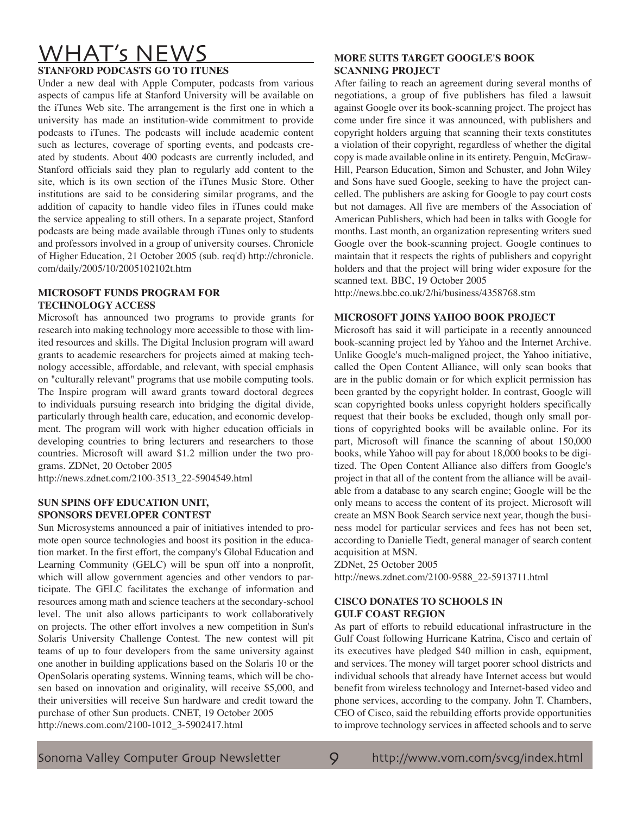# WHAT's NEWS

### **STANFORD PODCASTS GO TO ITUNES**

Under a new deal with Apple Computer, podcasts from various aspects of campus life at Stanford University will be available on the iTunes Web site. The arrangement is the first one in which a university has made an institution-wide commitment to provide podcasts to iTunes. The podcasts will include academic content such as lectures, coverage of sporting events, and podcasts created by students. About 400 podcasts are currently included, and Stanford officials said they plan to regularly add content to the site, which is its own section of the iTunes Music Store. Other institutions are said to be considering similar programs, and the addition of capacity to handle video files in iTunes could make the service appealing to still others. In a separate project, Stanford podcasts are being made available through iTunes only to students and professors involved in a group of university courses. Chronicle of Higher Education, 21 October 2005 (sub. req'd) http://chronicle. com/daily/2005/10/2005102102t.htm

### **MICROSOFT FUNDS PROGRAM FOR TECHNOLOGY ACCESS**

Microsoft has announced two programs to provide grants for research into making technology more accessible to those with limited resources and skills. The Digital Inclusion program will award grants to academic researchers for projects aimed at making technology accessible, affordable, and relevant, with special emphasis on "culturally relevant" programs that use mobile computing tools. The Inspire program will award grants toward doctoral degrees to individuals pursuing research into bridging the digital divide, particularly through health care, education, and economic development. The program will work with higher education officials in developing countries to bring lecturers and researchers to those countries. Microsoft will award \$1.2 million under the two programs. ZDNet, 20 October 2005

http://news.zdnet.com/2100-3513\_22-5904549.html

### **SUN SPINS OFF EDUCATION UNIT, SPONSORS DEVELOPER CONTEST**

Sun Microsystems announced a pair of initiatives intended to promote open source technologies and boost its position in the education market. In the first effort, the company's Global Education and Learning Community (GELC) will be spun off into a nonprofit, which will allow government agencies and other vendors to participate. The GELC facilitates the exchange of information and resources among math and science teachers at the secondary-school level. The unit also allows participants to work collaboratively on projects. The other effort involves a new competition in Sun's Solaris University Challenge Contest. The new contest will pit teams of up to four developers from the same university against one another in building applications based on the Solaris 10 or the OpenSolaris operating systems. Winning teams, which will be chosen based on innovation and originality, will receive \$5,000, and their universities will receive Sun hardware and credit toward the purchase of other Sun products. CNET, 19 October 2005 http://news.com.com/2100-1012\_3-5902417.html

### **MORE SUITS TARGET GOOGLE'S BOOK SCANNING PROJECT**

After failing to reach an agreement during several months of negotiations, a group of five publishers has filed a lawsuit against Google over its book-scanning project. The project has come under fire since it was announced, with publishers and copyright holders arguing that scanning their texts constitutes a violation of their copyright, regardless of whether the digital copy is made available online in its entirety. Penguin, McGraw-Hill, Pearson Education, Simon and Schuster, and John Wiley and Sons have sued Google, seeking to have the project cancelled. The publishers are asking for Google to pay court costs but not damages. All five are members of the Association of American Publishers, which had been in talks with Google for months. Last month, an organization representing writers sued Google over the book-scanning project. Google continues to maintain that it respects the rights of publishers and copyright holders and that the project will bring wider exposure for the scanned text. BBC, 19 October 2005

http://news.bbc.co.uk/2/hi/business/4358768.stm

### **MICROSOFT JOINS YAHOO BOOK PROJECT**

Microsoft has said it will participate in a recently announced book-scanning project led by Yahoo and the Internet Archive. Unlike Google's much-maligned project, the Yahoo initiative, called the Open Content Alliance, will only scan books that are in the public domain or for which explicit permission has been granted by the copyright holder. In contrast, Google will scan copyrighted books unless copyright holders specifically request that their books be excluded, though only small portions of copyrighted books will be available online. For its part, Microsoft will finance the scanning of about 150,000 books, while Yahoo will pay for about 18,000 books to be digitized. The Open Content Alliance also differs from Google's project in that all of the content from the alliance will be available from a database to any search engine; Google will be the only means to access the content of its project. Microsoft will create an MSN Book Search service next year, though the business model for particular services and fees has not been set, according to Danielle Tiedt, general manager of search content acquisition at MSN.

ZDNet, 25 October 2005

http://news.zdnet.com/2100-9588\_22-5913711.html

### **CISCO DONATES TO SCHOOLS IN GULF COAST REGION**

As part of efforts to rebuild educational infrastructure in the Gulf Coast following Hurricane Katrina, Cisco and certain of its executives have pledged \$40 million in cash, equipment, and services. The money will target poorer school districts and individual schools that already have Internet access but would benefit from wireless technology and Internet-based video and phone services, according to the company. John T. Chambers, CEO of Cisco, said the rebuilding efforts provide opportunities to improve technology services in affected schools and to serve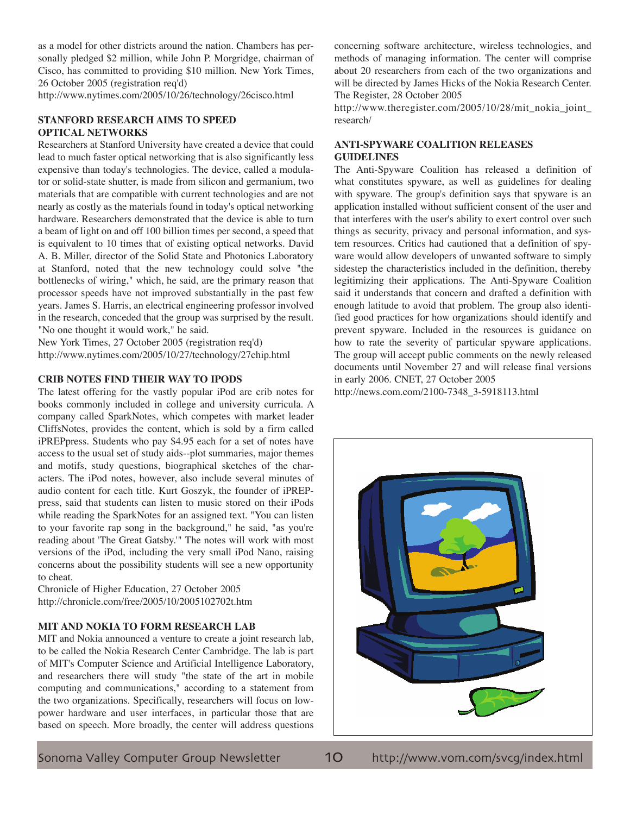as a model for other districts around the nation. Chambers has personally pledged \$2 million, while John P. Morgridge, chairman of Cisco, has committed to providing \$10 million. New York Times, 26 October 2005 (registration req'd)

http://www.nytimes.com/2005/10/26/technology/26cisco.html

### **STANFORD RESEARCH AIMS TO SPEED OPTICAL NETWORKS**

Researchers at Stanford University have created a device that could lead to much faster optical networking that is also significantly less expensive than today's technologies. The device, called a modulator or solid-state shutter, is made from silicon and germanium, two materials that are compatible with current technologies and are not nearly as costly as the materials found in today's optical networking hardware. Researchers demonstrated that the device is able to turn a beam of light on and off 100 billion times per second, a speed that is equivalent to 10 times that of existing optical networks. David A. B. Miller, director of the Solid State and Photonics Laboratory at Stanford, noted that the new technology could solve "the bottlenecks of wiring," which, he said, are the primary reason that processor speeds have not improved substantially in the past few years. James S. Harris, an electrical engineering professor involved in the research, conceded that the group was surprised by the result. "No one thought it would work," he said.

New York Times, 27 October 2005 (registration req'd) http://www.nytimes.com/2005/10/27/technology/27chip.html

### **CRIB NOTES FIND THEIR WAY TO IPODS**

The latest offering for the vastly popular iPod are crib notes for books commonly included in college and university curricula. A company called SparkNotes, which competes with market leader CliffsNotes, provides the content, which is sold by a firm called iPREPpress. Students who pay \$4.95 each for a set of notes have access to the usual set of study aids--plot summaries, major themes and motifs, study questions, biographical sketches of the characters. The iPod notes, however, also include several minutes of audio content for each title. Kurt Goszyk, the founder of iPREPpress, said that students can listen to music stored on their iPods while reading the SparkNotes for an assigned text. "You can listen to your favorite rap song in the background," he said, "as you're reading about 'The Great Gatsby.'" The notes will work with most versions of the iPod, including the very small iPod Nano, raising concerns about the possibility students will see a new opportunity to cheat.

Chronicle of Higher Education, 27 October 2005 http://chronicle.com/free/2005/10/2005102702t.htm

### **MIT AND NOKIA TO FORM RESEARCH LAB**

MIT and Nokia announced a venture to create a joint research lab, to be called the Nokia Research Center Cambridge. The lab is part of MIT's Computer Science and Artificial Intelligence Laboratory, and researchers there will study "the state of the art in mobile computing and communications," according to a statement from the two organizations. Specifically, researchers will focus on lowpower hardware and user interfaces, in particular those that are based on speech. More broadly, the center will address questions concerning software architecture, wireless technologies, and methods of managing information. The center will comprise about 20 researchers from each of the two organizations and will be directed by James Hicks of the Nokia Research Center. The Register, 28 October 2005

http://www.theregister.com/2005/10/28/mit\_nokia\_joint\_ research/

### **ANTI-SPYWARE COALITION RELEASES GUIDELINES**

The Anti-Spyware Coalition has released a definition of what constitutes spyware, as well as guidelines for dealing with spyware. The group's definition says that spyware is an application installed without sufficient consent of the user and that interferes with the user's ability to exert control over such things as security, privacy and personal information, and system resources. Critics had cautioned that a definition of spyware would allow developers of unwanted software to simply sidestep the characteristics included in the definition, thereby legitimizing their applications. The Anti-Spyware Coalition said it understands that concern and drafted a definition with enough latitude to avoid that problem. The group also identified good practices for how organizations should identify and prevent spyware. Included in the resources is guidance on how to rate the severity of particular spyware applications. The group will accept public comments on the newly released documents until November 27 and will release final versions in early 2006. CNET, 27 October 2005

http://news.com.com/2100-7348\_3-5918113.html



Sonoma Valley Computer Group Newsletter 10 http://www.vom.com/svcg/index.html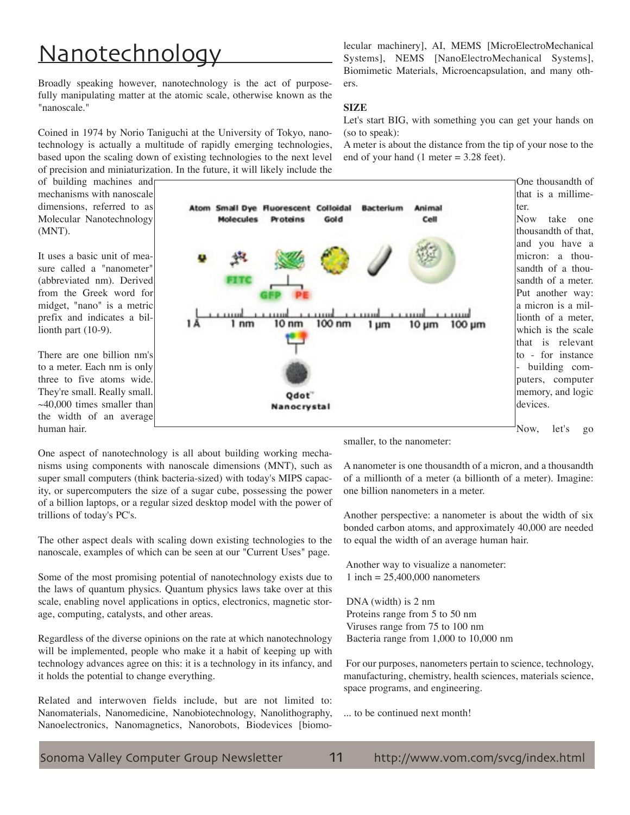# Nanotechnology

Broadly speaking however, nanotechnology is the act of purposefully manipulating matter at the atomic scale, otherwise known as the "nanoscale."

Coined in 1974 by Norio Taniguchi at the University of Tokyo, nanotechnology is actually a multitude of rapidly emerging technologies, based upon the scaling down of existing technologies to the next level of precision and miniaturization. In the future, it will likely include the

lecular machinery], AI, MEMS [MicroElectroMechanical Systems], NEMS [NanoElectroMechanical Systems], Biomimetic Materials, Microencapsulation, and many others.

### **SIZE**

Let's start BIG, with something you can get your hands on (so to speak):

A meter is about the distance from the tip of your nose to the end of your hand (1 meter = 3.28 feet).

of building machines and mechanisms with nanoscale dimensions, referred to as Molecular Nanotechnology (MNT).

It uses a basic unit of measure called a "nanometer" (abbreviated nm). Derived from the Greek word for midget, "nano" is a metric prefix and indicates a billionth part (10-9).

There are one billion nm's to a meter. Each nm is only three to five atoms wide. They're small. Really small.  $\sim$ 40,000 times smaller than the width of an average human hair.



One thousandth of that is a millimeter.

Now take one thousandth of that, and you have a micron: a thousandth of a thousandth of a meter. Put another way: a micron is a millionth of a meter, which is the scale that is relevant to - for instance - building computers, computer memory, and logic devices.

Now, let's go

One aspect of nanotechnology is all about building working mechanisms using components with nanoscale dimensions (MNT), such as super small computers (think bacteria-sized) with today's MIPS capacity, or supercomputers the size of a sugar cube, possessing the power of a billion laptops, or a regular sized desktop model with the power of trillions of today's PC's.

The other aspect deals with scaling down existing technologies to the nanoscale, examples of which can be seen at our "Current Uses" page.

Some of the most promising potential of nanotechnology exists due to the laws of quantum physics. Quantum physics laws take over at this scale, enabling novel applications in optics, electronics, magnetic storage, computing, catalysts, and other areas.

Regardless of the diverse opinions on the rate at which nanotechnology will be implemented, people who make it a habit of keeping up with technology advances agree on this: it is a technology in its infancy, and it holds the potential to change everything.

Related and interwoven fields include, but are not limited to: Nanomaterials, Nanomedicine, Nanobiotechnology, Nanolithography, Nanoelectronics, Nanomagnetics, Nanorobots, Biodevices [biomosmaller, to the nanometer:

A nanometer is one thousandth of a micron, and a thousandth of a millionth of a meter (a billionth of a meter). Imagine: one billion nanometers in a meter.

Another perspective: a nanometer is about the width of six bonded carbon atoms, and approximately 40,000 are needed to equal the width of an average human hair.

Another way to visualize a nanometer: 1 inch = 25,400,000 nanometers

DNA (width) is 2 nm Proteins range from 5 to 50 nm Viruses range from 75 to 100 nm Bacteria range from 1,000 to 10,000 nm

For our purposes, nanometers pertain to science, technology, manufacturing, chemistry, health sciences, materials science, space programs, and engineering.

... to be continued next month!

Sonoma Valley Computer Group Newsletter 11 http://www.vom.com/svcg/index.html